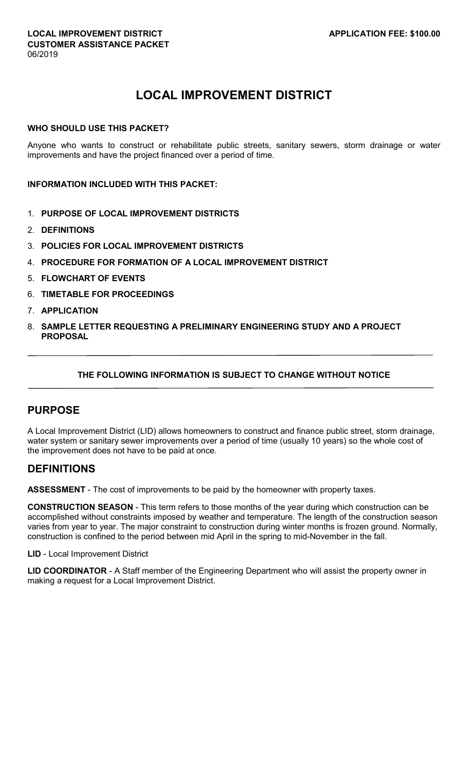# **LOCAL IMPROVEMENT DISTRICT**

#### **WHO SHOULD USE THIS PACKET?**

Anyone who wants to construct or rehabilitate public streets, sanitary sewers, storm drainage or water improvements and have the project financed over a period of time.

#### **INFORMATION INCLUDED WITH THIS PACKET:**

- 1. **PURPOSE OF LOCAL IMPROVEMENT DISTRICTS**
- 2. **DEFINITIONS**
- 3. **POLICIES FOR LOCAL IMPROVEMENT DISTRICTS**
- 4. **PROCEDURE FOR FORMATION OF A LOCAL IMPROVEMENT DISTRICT**
- 5. **FLOWCHART OF EVENTS**
- 6. **TIMETABLE FOR PROCEEDINGS**
- 7. **APPLICATION**
- 8. **SAMPLE LETTER REQUESTING A PRELIMINARY ENGINEERING STUDY AND A PROJECT PROPOSAL**

#### **THE FOLLOWING INFORMATION IS SUBJECT TO CHANGE WITHOUT NOTICE**

## **PURPOSE**

A Local Improvement District (LID) allows homeowners to construct and finance public street, storm drainage, water system or sanitary sewer improvements over a period of time (usually 10 years) so the whole cost of the improvement does not have to be paid at once.

### **DEFINITIONS**

**ASSESSMENT** - The cost of improvements to be paid by the homeowner with property taxes.

**CONSTRUCTION SEASON** - This term refers to those months of the year during which construction can be accomplished without constraints imposed by weather and temperature. The length of the construction season varies from year to year. The major constraint to construction during winter months is frozen ground. Normally, construction is confined to the period between mid April in the spring to mid-November in the fall.

**LID** - Local Improvement District

**LID COORDINATOR** - A Staff member of the Engineering Department who will assist the property owner in making a request for a Local Improvement District.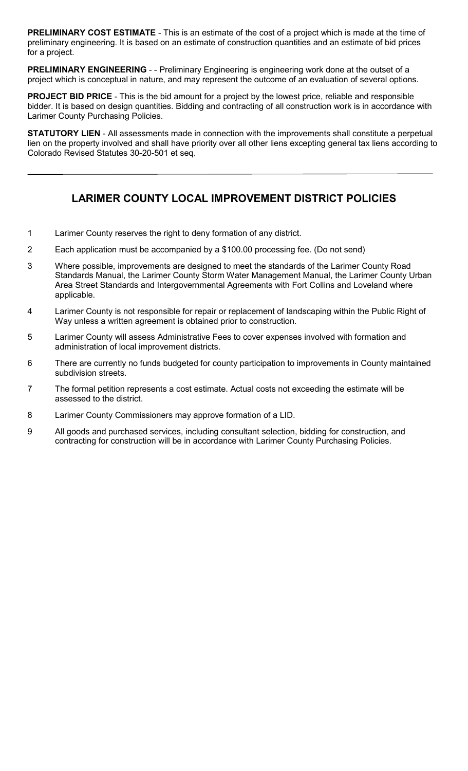**PRELIMINARY COST ESTIMATE** - This is an estimate of the cost of a project which is made at the time of preliminary engineering. It is based on an estimate of construction quantities and an estimate of bid prices for a project.

**PRELIMINARY ENGINEERING** - - Preliminary Engineering is engineering work done at the outset of a project which is conceptual in nature, and may represent the outcome of an evaluation of several options.

**PROJECT BID PRICE** - This is the bid amount for a project by the lowest price, reliable and responsible bidder. It is based on design quantities. Bidding and contracting of all construction work is in accordance with Larimer County Purchasing Policies.

**STATUTORY LIEN** - All assessments made in connection with the improvements shall constitute a perpetual lien on the property involved and shall have priority over all other liens excepting general tax liens according to Colorado Revised Statutes 30-20-501 et seq.

# **LARIMER COUNTY LOCAL IMPROVEMENT DISTRICT POLICIES**

- 1 Larimer County reserves the right to deny formation of any district.
- 2 Each application must be accompanied by a \$100.00 processing fee. (Do not send)
- 3 Where possible, improvements are designed to meet the standards of the Larimer County Road Standards Manual, the Larimer County Storm Water Management Manual, the Larimer County Urban Area Street Standards and Intergovernmental Agreements with Fort Collins and Loveland where applicable.
- 4 Larimer County is not responsible for repair or replacement of landscaping within the Public Right of Way unless a written agreement is obtained prior to construction.
- 5 Larimer County will assess Administrative Fees to cover expenses involved with formation and administration of local improvement districts.
- 6 There are currently no funds budgeted for county participation to improvements in County maintained subdivision streets.
- 7 The formal petition represents a cost estimate. Actual costs not exceeding the estimate will be assessed to the district.
- 8 Larimer County Commissioners may approve formation of a LID.
- 9 All goods and purchased services, including consultant selection, bidding for construction, and contracting for construction will be in accordance with Larimer County Purchasing Policies.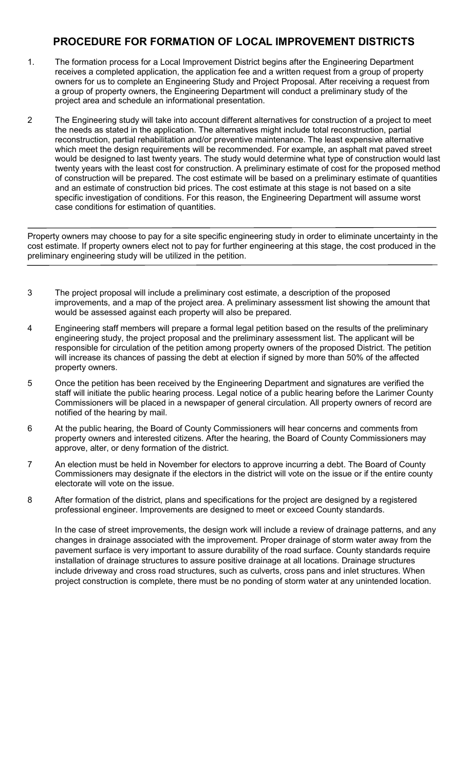# **PROCEDURE FOR FORMATION OF LOCAL IMPROVEMENT DISTRICTS**

- 1. The formation process for a Local Improvement District begins after the Engineering Department receives a completed application, the application fee and a written request from a group of property owners for us to complete an Engineering Study and Project Proposal. After receiving a request from a group of property owners, the Engineering Department will conduct a preliminary study of the project area and schedule an informational presentation.
- 2 The Engineering study will take into account different alternatives for construction of a project to meet the needs as stated in the application. The alternatives might include total reconstruction, partial reconstruction, partial rehabilitation and/or preventive maintenance. The least expensive alternative which meet the design requirements will be recommended. For example, an asphalt mat paved street would be designed to last twenty years. The study would determine what type of construction would last twenty years with the least cost for construction. A preliminary estimate of cost for the proposed method of construction will be prepared. The cost estimate will be based on a preliminary estimate of quantities and an estimate of construction bid prices. The cost estimate at this stage is not based on a site specific investigation of conditions. For this reason, the Engineering Department will assume worst case conditions for estimation of quantities.

Property owners may choose to pay for a site specific engineering study in order to eliminate uncertainty in the cost estimate. If property owners elect not to pay for further engineering at this stage, the cost produced in the preliminary engineering study will be utilized in the petition.

- 3 The project proposal will include a preliminary cost estimate, a description of the proposed improvements, and a map of the project area. A preliminary assessment list showing the amount that would be assessed against each property will also be prepared.
- 4 Engineering staff members will prepare a formal legal petition based on the results of the preliminary engineering study, the project proposal and the preliminary assessment list. The applicant will be responsible for circulation of the petition among property owners of the proposed District. The petition will increase its chances of passing the debt at election if signed by more than 50% of the affected property owners.
- 5 Once the petition has been received by the Engineering Department and signatures are verified the staff will initiate the public hearing process. Legal notice of a public hearing before the Larimer County Commissioners will be placed in a newspaper of general circulation. All property owners of record are notified of the hearing by mail.
- 6 At the public hearing, the Board of County Commissioners will hear concerns and comments from property owners and interested citizens. After the hearing, the Board of County Commissioners may approve, alter, or deny formation of the district.
- 7 An election must be held in November for electors to approve incurring a debt. The Board of County Commissioners may designate if the electors in the district will vote on the issue or if the entire county electorate will vote on the issue.
- 8 After formation of the district, plans and specifications for the project are designed by a registered professional engineer. Improvements are designed to meet or exceed County standards.

In the case of street improvements, the design work will include a review of drainage patterns, and any changes in drainage associated with the improvement. Proper drainage of storm water away from the pavement surface is very important to assure durability of the road surface. County standards require installation of drainage structures to assure positive drainage at all locations. Drainage structures include driveway and cross road structures, such as culverts, cross pans and inlet structures. When project construction is complete, there must be no ponding of storm water at any unintended location.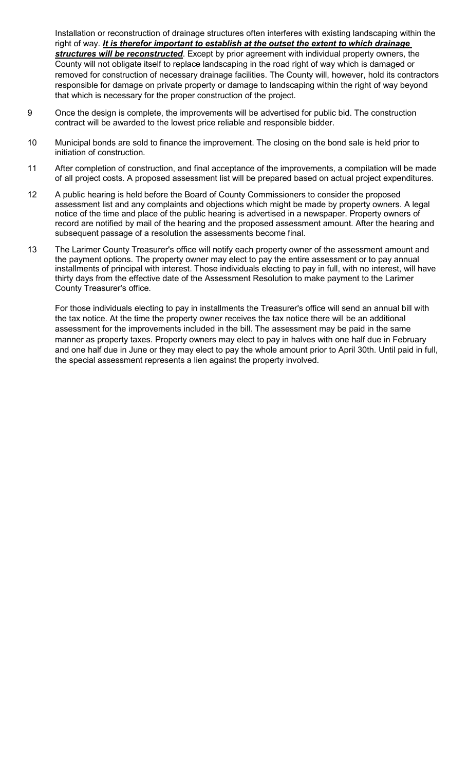Installation or reconstruction of drainage structures often interferes with existing landscaping within the right of way. *It is therefor important to establish at the outset the extent to which drainage structures will be reconstructed*. Except by prior agreement with individual property owners, the County will not obligate itself to replace landscaping in the road right of way which is damaged or removed for construction of necessary drainage facilities. The County will, however, hold its contractors responsible for damage on private property or damage to landscaping within the right of way beyond that which is necessary for the proper construction of the project.

- 9 Once the design is complete, the improvements will be advertised for public bid. The construction contract will be awarded to the lowest price reliable and responsible bidder.
- 10 Municipal bonds are sold to finance the improvement. The closing on the bond sale is held prior to initiation of construction.
- 11 After completion of construction, and final acceptance of the improvements, a compilation will be made of all project costs. A proposed assessment list will be prepared based on actual project expenditures.
- 12 A public hearing is held before the Board of County Commissioners to consider the proposed assessment list and any complaints and objections which might be made by property owners. A legal notice of the time and place of the public hearing is advertised in a newspaper. Property owners of record are notified by mail of the hearing and the proposed assessment amount. After the hearing and subsequent passage of a resolution the assessments become final.
- 13 The Larimer County Treasurer's office will notify each property owner of the assessment amount and the payment options. The property owner may elect to pay the entire assessment or to pay annual installments of principal with interest. Those individuals electing to pay in full, with no interest, will have thirty days from the effective date of the Assessment Resolution to make payment to the Larimer County Treasurer's office.

For those individuals electing to pay in installments the Treasurer's office will send an annual bill with the tax notice. At the time the property owner receives the tax notice there will be an additional assessment for the improvements included in the bill. The assessment may be paid in the same manner as property taxes. Property owners may elect to pay in halves with one half due in February and one half due in June or they may elect to pay the whole amount prior to April 30th. Until paid in full, the special assessment represents a lien against the property involved.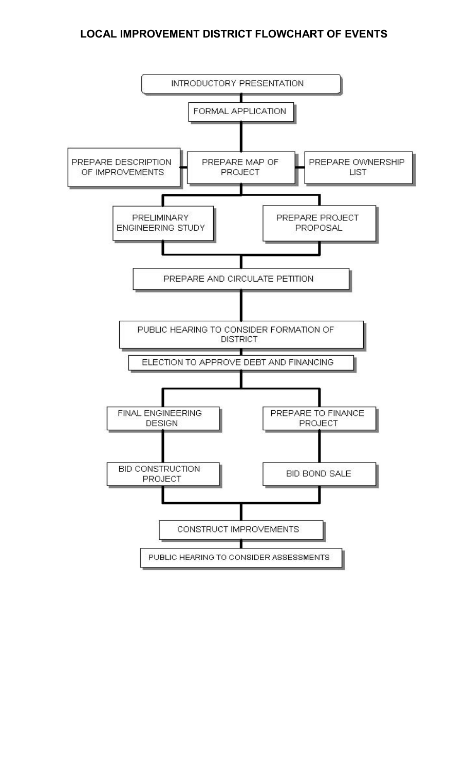## **LOCAL IMPROVEMENT DISTRICT FLOWCHART OF EVENTS**

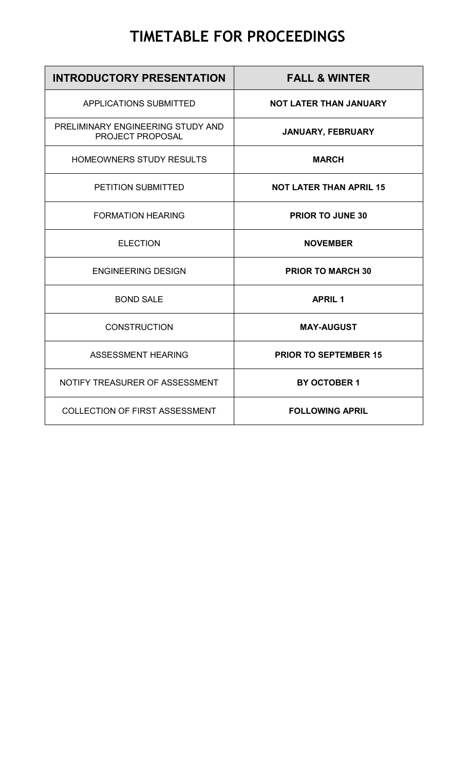# **TIMETABLE FOR PROCEEDINGS**

| <b>INTRODUCTORY PRESENTATION</b>                      | <b>FALL &amp; WINTER</b>       |
|-------------------------------------------------------|--------------------------------|
| <b>APPLICATIONS SUBMITTED</b>                         | <b>NOT LATER THAN JANUARY</b>  |
| PRELIMINARY ENGINEERING STUDY AND<br>PROJECT PROPOSAL | JANUARY, FEBRUARY              |
| HOMEOWNERS STUDY RESULTS                              | <b>MARCH</b>                   |
| PETITION SUBMITTED                                    | <b>NOT LATER THAN APRIL 15</b> |
| <b>FORMATION HEARING</b>                              | <b>PRIOR TO JUNE 30</b>        |
| <b>ELECTION</b>                                       | <b>NOVEMBER</b>                |
| <b>ENGINEERING DESIGN</b>                             | <b>PRIOR TO MARCH 30</b>       |
| <b>BOND SALE</b>                                      | <b>APRIL 1</b>                 |
| <b>CONSTRUCTION</b>                                   | <b>MAY-AUGUST</b>              |
| <b>ASSESSMENT HEARING</b>                             | <b>PRIOR TO SEPTEMBER 15</b>   |
| NOTIFY TREASURER OF ASSESSMENT                        | <b>BY OCTOBER 1</b>            |
| <b>COLLECTION OF FIRST ASSESSMENT</b>                 | <b>FOLLOWING APRIL</b>         |